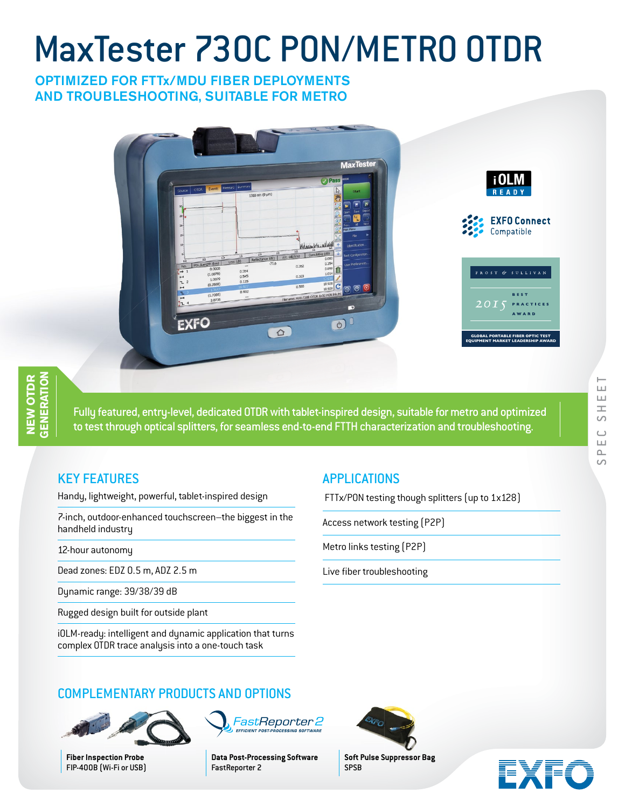# MaxTester 730C PON/METRO OTDR

## OPTIMIZED FOR FTTx/MDU FIBER DEPLOYMENTS AND TROUBLESHOOTING, SUITABLE FOR METRO



Fully featured, entry-level, dedicated OTDR with tablet-inspired design, suitable for metro and optimized to test through optical splitters, for seamless end-to-end FTTH characterization and troubleshooting.

# KEY FEATURES

Handy, lightweight, powerful, tablet-inspired design

7-inch, outdoor-enhanced touchscreen–the biggest in the handheld industry

12-hour autonomy

Dead zones: EDZ 0.5 m, ADZ 2.5 m

Dynamic range: 39/38/39 dB

Rugged design built for outside plant

iOLM-ready: intelligent and dynamic application that turns complex OTDR trace analysis into a one-touch task

# APPLICATIONS

FTTx/PON testing though splitters (up to 1x128)

Access network testing (P2P)

Metro links testing (P2P)

Live fiber troubleshooting

 $\circ$ 



**Soft Pulse Suppressor Bag** SPSB



# COMPLEMENTARY PRODUCTS AND OPTIONS



**Fiber Inspection Probe** FIP-400B (Wi-Fi or USB) **Data Post-Processing Software** FastReporter 2

FastReporter 2 **EFFICIENT POST-PROCESSING SOFTW** 

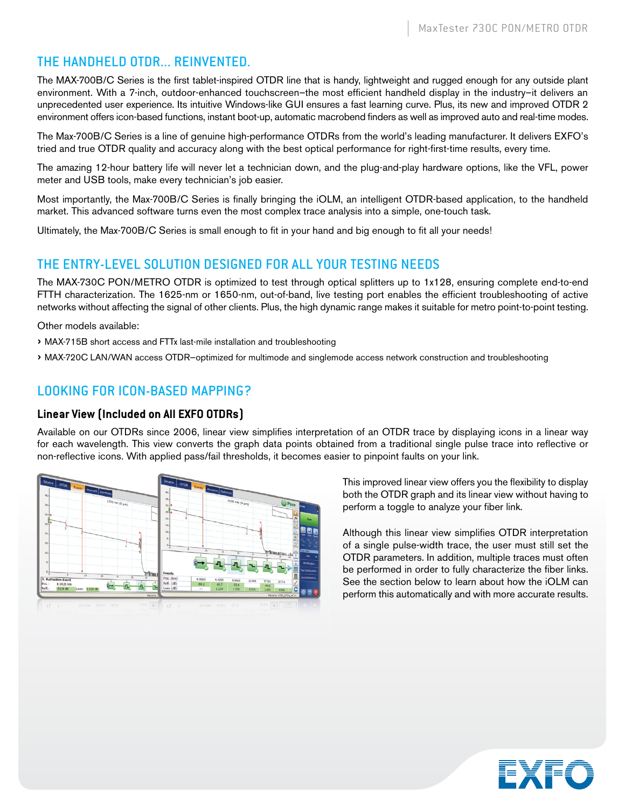# THE HANDHELD OTDR... REINVENTED.

The MAX-700B/C Series is the first tablet-inspired OTDR line that is handy, lightweight and rugged enough for any outside plant environment. With a 7-inch, outdoor-enhanced touchscreen–the most efficient handheld display in the industry–it delivers an unprecedented user experience. Its intuitive Windows-like GUI ensures a fast learning curve. Plus, its new and improved OTDR 2 environment offers icon-based functions, instant boot-up, automatic macrobend finders as well as improved auto and real-time modes.

The Max-700B/C Series is a line of genuine high-performance OTDRs from the world's leading manufacturer. It delivers EXFO's tried and true OTDR quality and accuracy along with the best optical performance for right-first-time results, every time.

The amazing 12-hour battery life will never let a technician down, and the plug-and-play hardware options, like the VFL, power meter and USB tools, make every technician's job easier.

Most importantly, the Max-700B/C Series is finally bringing the iOLM, an intelligent OTDR-based application, to the handheld market. This advanced software turns even the most complex trace analysis into a simple, one-touch task.

Ultimately, the Max-700B/C Series is small enough to fit in your hand and big enough to fit all your needs!

## THE ENTRY-LEVEL SOLUTION DESIGNED FOR ALL YOUR TESTING NEEDS

The MAX-730C PON/METRO OTDR is optimized to test through optical splitters up to 1x128, ensuring complete end-to-end FTTH characterization. The 1625-nm or 1650-nm, out-of-band, live testing port enables the efficient troubleshooting of active networks without affecting the signal of other clients. Plus, the high dynamic range makes it suitable for metro point-to-point testing.

Other models available:

- › MAX-715B short access and FTTx last-mile installation and troubleshooting
- › MAX-720C LAN/WAN access OTDR—optimized for multimode and singlemode access network construction and troubleshooting

# LOOKING FOR ICON-BASED MAPPING?

## **Linear View (Included on All EXFO OTDRs)**

Available on our OTDRs since 2006, linear view simplifies interpretation of an OTDR trace by displaying icons in a linear way for each wavelength. This view converts the graph data points obtained from a traditional single pulse trace into reflective or non-reflective icons. With applied pass/fail thresholds, it becomes easier to pinpoint faults on your link.



This improved linear view offers you the flexibility to display both the OTDR graph and its linear view without having to perform a toggle to analyze your fiber link.

Although this linear view simplifies OTDR interpretation of a single pulse-width trace, the user must still set the OTDR parameters. In addition, multiple traces must often be performed in order to fully characterize the fiber links. See the section below to learn about how the iOLM can perform this automatically and with more accurate results.

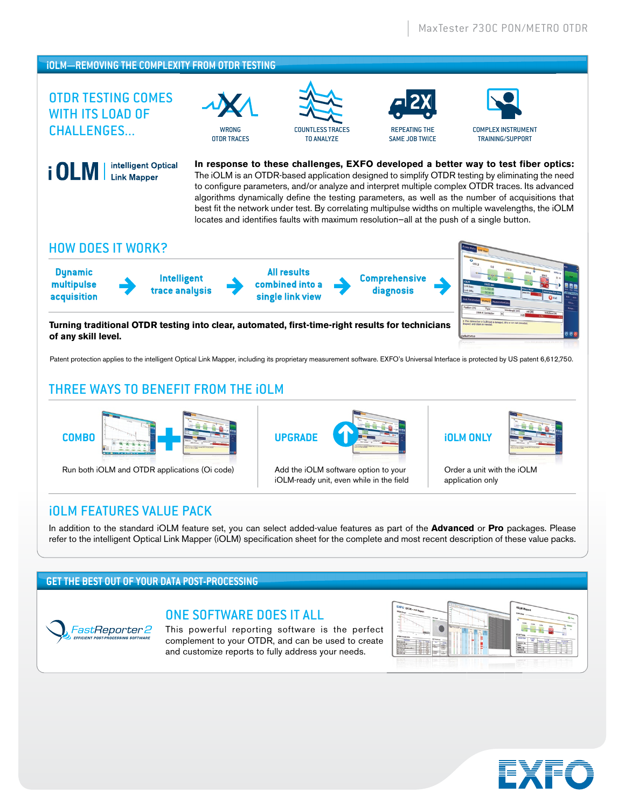## **iOLM—REMOVING THE COMPLEXITY FROM OTDR TESTING**

intelligent Optical

**Link Mapper** 

# OTDR TESTING COMES WITH ITS LOAD OF CHALLENGES...



OTDR TRACES







**In response to these challenges, EXFO developed a better way to test fiber optics:**  The iOLM is an OTDR-based application designed to simplify OTDR testing by eliminating the need to configure parameters, and/or analyze and interpret multiple complex OTDR traces. Its advanced algorithms dynamically define the testing parameters, as well as the number of acquisitions that best fit the network under test. By correlating multipulse widths on multiple wavelengths, the iOLM locates and identifies faults with maximum resolution—all at the push of a single button.

## HOW DOES IT WORK?

**Dynamic multipulse acquisition**

i OLM



**All results combined into a single link view** **Comprehensive diagnosis**



**Turning traditional OTDR testing into clear, automated, first-time-right results for technicians of any skill level.**

Patent protection applies to the intelligent Optical Link Mapper, including its proprietary measurement software. EXFO's Universal Interface is protected by US patent 6,612,750.

# THREE WAYS TO BENEFIT FROM THE iOLM



Run both iOLM and OTDR applications (Oi code) Add the iOLM software option to your



iOLM-ready unit, even while in the field





Order a unit with the iOLM application only

## iOLM FEATURES VALUE PACK

In addition to the standard iOLM feature set, you can select added-value features as part of the **Advanced** or **Pro** packages. Please refer to the intelligent Optical Link Mapper (iOLM) specification sheet for the complete and most recent description of these value packs.

## **GET THE BEST OUT OF YOUR DATA POST-PROCESSING**



## ONE SOFTWARE DOES IT ALL

This powerful reporting software is the perfect complement to your OTDR, and can be used to create and customize reports to fully address your needs.



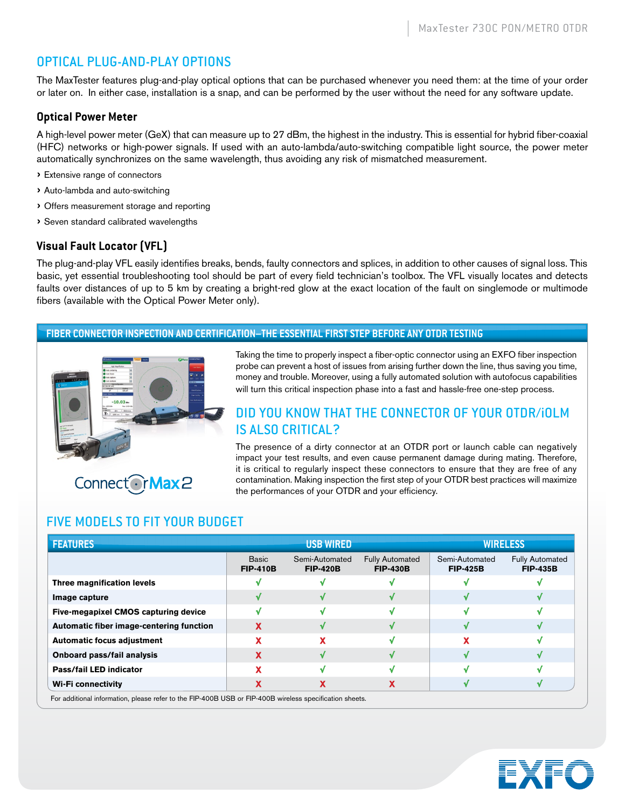# OPTICAL PLUG-AND-PLAY OPTIONS

The MaxTester features plug-and-play optical options that can be purchased whenever you need them: at the time of your order or later on. In either case, installation is a snap, and can be performed by the user without the need for any software update.

## **Optical Power Meter**

A high-level power meter (GeX) that can measure up to 27 dBm, the highest in the industry. This is essential for hybrid fiber-coaxial (HFC) networks or high-power signals. If used with an auto-lambda/auto-switching compatible light source, the power meter automatically synchronizes on the same wavelength, thus avoiding any risk of mismatched measurement.

- › Extensive range of connectors
- › Auto-lambda and auto-switching
- › Offers measurement storage and reporting
- › Seven standard calibrated wavelengths

## **Visual Fault Locator (VFL)**

The plug-and-play VFL easily identifies breaks, bends, faulty connectors and splices, in addition to other causes of signal loss. This basic, yet essential troubleshooting tool should be part of every field technician's toolbox. The VFL visually locates and detects faults over distances of up to 5 km by creating a bright-red glow at the exact location of the fault on singlemode or multimode fibers (available with the Optical Power Meter only).

#### **FIBER CONNECTOR INSPECTION AND CERTIFICATION–THE ESSENTIAL FIRST STEP BEFORE ANY OTDR TESTING**



Connect OrMax2

Taking the time to properly inspect a fiber-optic connector using an EXFO fiber inspection probe can prevent a host of issues from arising further down the line, thus saving you time, money and trouble. Moreover, using a fully automated solution with autofocus capabilities will turn this critical inspection phase into a fast and hassle-free one-step process.

## DID YOU KNOW THAT THE CONNECTOR OF YOUR OTDR/iOLM IS ALSO CRITICAL?

The presence of a dirty connector at an OTDR port or launch cable can negatively impact your test results, and even cause permanent damage during mating. Therefore, it is critical to regularly inspect these connectors to ensure that they are free of any contamination. Making inspection the first step of your OTDR best practices will maximize the performances of your OTDR and your efficiency.

## FIVE MODELS TO FIT YOUR BUDGET

| <b>FEATURES</b>                                                                                        |                                 | <b>USB WIRED</b>                  |                                           |                                   | WIRELESS                                  |
|--------------------------------------------------------------------------------------------------------|---------------------------------|-----------------------------------|-------------------------------------------|-----------------------------------|-------------------------------------------|
|                                                                                                        | <b>Basic</b><br><b>FIP-410B</b> | Semi-Automated<br><b>FIP-420B</b> | <b>Fully Automated</b><br><b>FIP-430B</b> | Semi-Automated<br><b>FIP-425B</b> | <b>Fully Automated</b><br><b>FIP-435B</b> |
| Three magnification levels                                                                             |                                 |                                   |                                           |                                   |                                           |
| Image capture                                                                                          |                                 |                                   |                                           |                                   |                                           |
| Five-megapixel CMOS capturing device                                                                   |                                 |                                   |                                           |                                   |                                           |
| Automatic fiber image-centering function                                                               |                                 |                                   |                                           |                                   |                                           |
| <b>Automatic focus adjustment</b>                                                                      |                                 |                                   |                                           |                                   |                                           |
| Onboard pass/fail analysis                                                                             |                                 |                                   |                                           |                                   |                                           |
| <b>Pass/fail LED indicator</b>                                                                         |                                 |                                   |                                           |                                   |                                           |
| Wi-Fi connectivity                                                                                     |                                 |                                   | x                                         |                                   |                                           |
| For additional information, please refer to the FIP-400B USB or FIP-400B wireless specification sheets |                                 |                                   |                                           |                                   |                                           |

For additional information, please refer to the FIP-400B USB or FIP-400B wireless specification sheets.

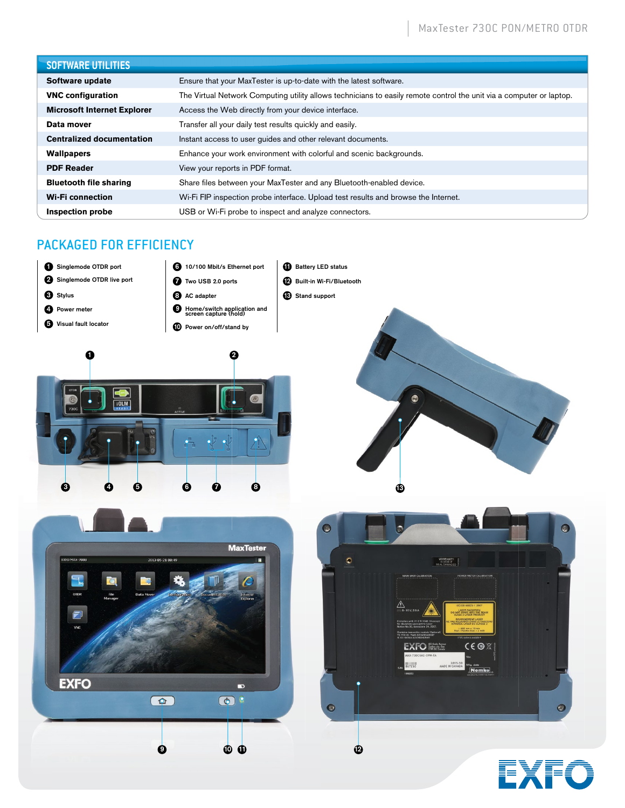| <b>SOFTWARE UTILITIES</b>          |                                                                                                                      |
|------------------------------------|----------------------------------------------------------------------------------------------------------------------|
| Software update                    | Ensure that your MaxTester is up-to-date with the latest software.                                                   |
| <b>VNC configuration</b>           | The Virtual Network Computing utility allows technicians to easily remote control the unit via a computer or laptop. |
| <b>Microsoft Internet Explorer</b> | Access the Web directly from your device interface.                                                                  |
| Data mover                         | Transfer all your daily test results quickly and easily.                                                             |
| <b>Centralized documentation</b>   | Instant access to user guides and other relevant documents.                                                          |
| <b>Wallpapers</b>                  | Enhance your work environment with colorful and scenic backgrounds.                                                  |
| <b>PDF Reader</b>                  | View your reports in PDF format.                                                                                     |
| <b>Bluetooth file sharing</b>      | Share files between your MaxTester and any Bluetooth-enabled device.                                                 |
| <b>Wi-Fi</b> connection            | Wi-Fi FIP inspection probe interface. Upload test results and browse the Internet.                                   |
| Inspection probe                   | USB or Wi-Fi probe to inspect and analyze connectors.                                                                |

# PACKAGED FOR EFFICIENCY







3 4 5 6 7 8



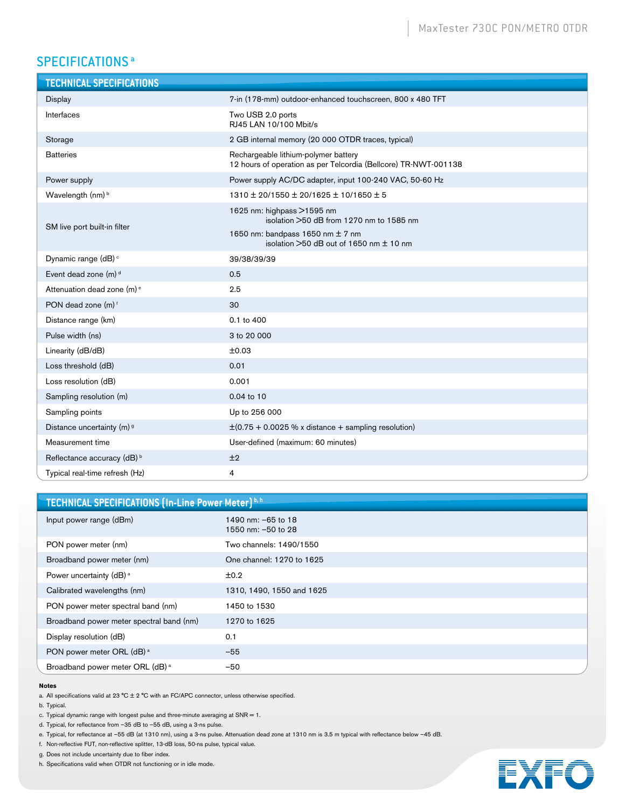# SPECIFICATIONS<sup>a</sup>

| <b>TECHNICAL SPECIFICATIONS</b>        |                                                                                                            |
|----------------------------------------|------------------------------------------------------------------------------------------------------------|
| Display                                | 7-in (178-mm) outdoor-enhanced touchscreen, 800 x 480 TFT                                                  |
| Interfaces                             | Two USB 2.0 ports<br>RJ45 LAN 10/100 Mbit/s                                                                |
| Storage                                | 2 GB internal memory (20 000 OTDR traces, typical)                                                         |
| <b>Batteries</b>                       | Rechargeable lithium-polymer battery<br>12 hours of operation as per Telcordia (Bellcore) TR-NWT-001138    |
| Power supply                           | Power supply AC/DC adapter, input 100-240 VAC, 50-60 Hz                                                    |
| Wavelength (nm) <sup>b</sup>           | 1310 ± 20/1550 ± 20/1625 ± 10/1650 ± 5                                                                     |
| SM live port built-in filter           | 1625 nm: highpass >1595 nm<br>isolation >50 dB from 1270 nm to 1585 nm<br>1650 nm: bandpass 1650 nm ± 7 nm |
|                                        | isolation $>50$ dB out of 1650 nm $\pm$ 10 nm                                                              |
| Dynamic range (dB) <sup>c</sup>        | 39/38/39/39                                                                                                |
| Event dead zone (m) <sup>d</sup>       | 0.5                                                                                                        |
| Attenuation dead zone (m) <sup>e</sup> | 2.5                                                                                                        |
| PON dead zone (m) <sup>f</sup>         | 30                                                                                                         |
| Distance range (km)                    | 0.1 to 400                                                                                                 |
| Pulse width (ns)                       | 3 to 20 000                                                                                                |
| Linearity (dB/dB)                      | ±0.03                                                                                                      |
| Loss threshold (dB)                    | 0.01                                                                                                       |
| Loss resolution (dB)                   | 0.001                                                                                                      |
| Sampling resolution (m)                | 0.04 to 10                                                                                                 |
| Sampling points                        | Up to 256 000                                                                                              |
| Distance uncertainty (m) 9             | $\pm$ (0.75 + 0.0025 % x distance + sampling resolution)                                                   |
| Measurement time                       | User-defined (maximum: 60 minutes)                                                                         |
| Reflectance accuracy (dB) <sup>b</sup> | ±2                                                                                                         |
| Typical real-time refresh (Hz)         | 4                                                                                                          |

| TECHNICAL SPECIFICATIONS (In-Line Power Meter) b, h |                                          |  |
|-----------------------------------------------------|------------------------------------------|--|
| Input power range (dBm)                             | 1490 nm: -65 to 18<br>1550 nm: -50 to 28 |  |
| PON power meter (nm)                                | Two channels: 1490/1550                  |  |
| Broadband power meter (nm)                          | One channel: 1270 to 1625                |  |
| Power uncertainty (dB) <sup>a</sup>                 | ±0.2                                     |  |
| Calibrated wavelengths (nm)                         | 1310, 1490, 1550 and 1625                |  |
| PON power meter spectral band (nm)                  | 1450 to 1530                             |  |
| Broadband power meter spectral band (nm)            | 1270 to 1625                             |  |
| Display resolution (dB)                             | 0.1                                      |  |
| PON power meter ORL (dB) <sup>a</sup>               | $-55$                                    |  |
| Broadband power meter ORL (dB) <sup>a</sup>         | $-50$                                    |  |

#### **Notes**

a. All specifications valid at 23 °C  $\pm$  2 °C with an FC/APC connector, unless otherwise specified.

b. Typical.

c. Typical dynamic range with longest pulse and three-minute averaging at  $SNR = 1$ .

d. Typical, for reflectance from –35 dB to –55 dB, using a 3-ns pulse.

e. Typical, for reflectance at –55 dB (at 1310 nm), using a 3-ns pulse. Attenuation dead zone at 1310 nm is 3.5 m typical with reflectance below –45 dB.

f. Non-reflective FUT, non-reflective splitter, 13-dB loss, 50-ns pulse, typical value.

g. Does not include uncertainty due to fiber index.

h. Specifications valid when OTDR not functioning or in idle mode.

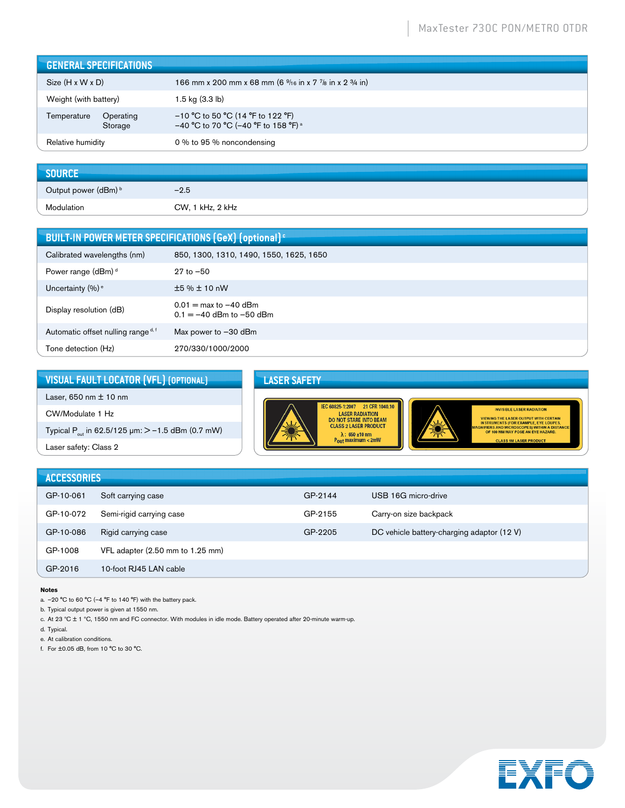|                              | <b>GENERAL SPECIFICATIONS</b> |                                                                                               |
|------------------------------|-------------------------------|-----------------------------------------------------------------------------------------------|
| $Size (H \times W \times D)$ |                               | 166 mm x 200 mm x 68 mm (6 <sup>9</sup> /16 in x 7 <sup>7</sup> /8 in x 2 <sup>3</sup> /4 in) |
| Weight (with battery)        |                               | 1.5 kg (3.3 lb)                                                                               |
| Temperature                  | Operating<br>Storage          | $-10$ °C to 50 °C (14 °F to 122 °F)<br>-40 °C to 70 °C (-40 °F to 158 °F) <sup>a</sup>        |
| Relative humidity            |                               | 0 % to 95 % noncondensing                                                                     |

| SOURCE               |                  |
|----------------------|------------------|
| Output power (dBm) b | $-2.5$           |
| Modulation           | CW, 1 kHz, 2 kHz |

| BUILT-IN POWER METER SPECIFICATIONS (GeX) (optional) <sup>c</sup> |                                                                         |  |
|-------------------------------------------------------------------|-------------------------------------------------------------------------|--|
| Calibrated wavelengths (nm)                                       | 850, 1300, 1310, 1490, 1550, 1625, 1650                                 |  |
| Power range (dBm) <sup>d</sup>                                    | $27$ to $-50$                                                           |  |
| Uncertainty $(\%)$ <sup>e</sup>                                   | ±5%±10nW                                                                |  |
| Display resolution (dB)                                           | $0.01 = \text{max to } -40 \text{ dBm}$<br>$0.1 = -40$ dBm to $-50$ dBm |  |
| Automatic offset nulling range d, f                               | Max power to $-30$ dBm                                                  |  |
| Tone detection (Hz)                                               | 270/330/1000/2000                                                       |  |

| VISUAL FAULT LOCATOR (VFL) (OPTIONAL)                               | <b>LASER SAFETY</b>                                                                                                                                                                                 |
|---------------------------------------------------------------------|-----------------------------------------------------------------------------------------------------------------------------------------------------------------------------------------------------|
| Laser, 650 nm $\pm$ 10 nm                                           |                                                                                                                                                                                                     |
| CW/Modulate 1 Hz                                                    | 21 CFR 1040.10<br>IEC 60825-1:2007<br><b>INVISIBLE LASER RADIATION</b><br><b>LASER RADIATION</b><br><b>VIEWING THE LASER OUTPUT WITH CERTAIN</b><br><b>DO NOT STARE INTO BEAM</b>                   |
| Typical P <sub>out</sub> in 62.5/125 $\mu$ m: $>$ –1.5 dBm (0.7 mW) | <b>INSTRUMENTS (FOR EXAMPLE, EYE LOUPES,</b><br><b>CLASS 2 LASER PRODUCT</b><br><b>MAGNIFIERS AND MICROSCOPES) WITHIN A DISTANCE</b><br>OF 100 MM MAY POSE AN EYE HAZARD.<br>$\lambda$ : 650 ±10 nm |
| Laser safety: Class 2                                               | $P_{\text{out}}$ maximum < 2mW<br><b>CLASS 1M LASER PRODUCT</b>                                                                                                                                     |
|                                                                     |                                                                                                                                                                                                     |
| <b>ACCESSORIES</b>                                                  |                                                                                                                                                                                                     |

| <b>ACCESSORIES</b> |                                  |         |                                            |
|--------------------|----------------------------------|---------|--------------------------------------------|
| GP-10-061          | Soft carrying case               | GP-2144 | USB 16G micro-drive                        |
| GP-10-072          | Semi-rigid carrying case         | GP-2155 | Carry-on size backpack                     |
| GP-10-086          | Rigid carrying case              | GP-2205 | DC vehicle battery-charging adaptor (12 V) |
| GP-1008            | VFL adapter (2.50 mm to 1.25 mm) |         |                                            |
| GP-2016            | 10-foot RJ45 LAN cable           |         |                                            |

#### **Notes**

a.  $-20$  °C to 60 °C ( $-4$  °F to 140 °F) with the battery pack.

b. Typical output power is given at 1550 nm.

c. At 23 ºC ± 1 ºC, 1550 nm and FC connector. With modules in idle mode. Battery operated after 20-minute warm-up.

d. Typical.

e. At calibration conditions.

f. For ±0.05 dB, from 10 °C to 30 °C.

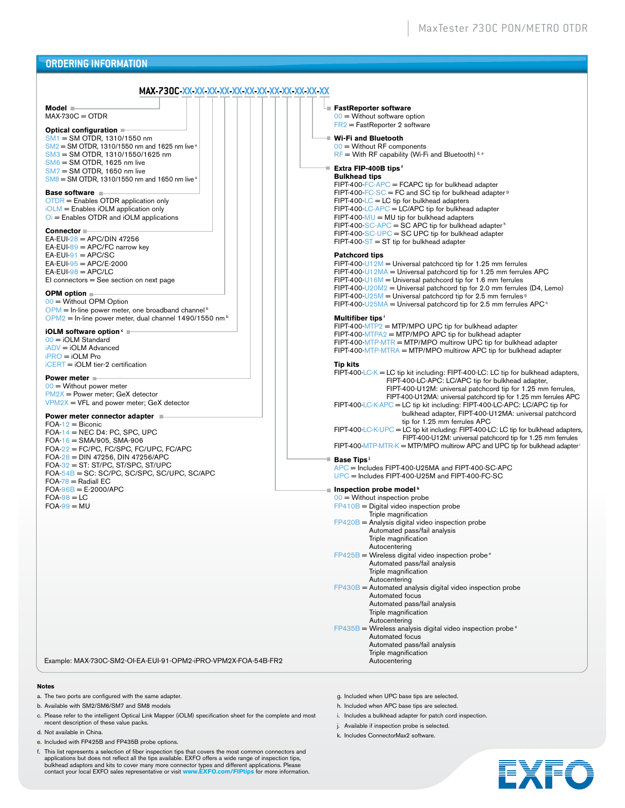### **ORDERING INFORMATION**

#### **MAX-730C-XX-XX-XX-XX-XX-XX-XX-XX-XX-XX-XX-XX**

**Model**  $MAX-730C = OTDR$ 

#### **Optical configuration**

SM1 = SM OTDR, 1310/1550 nm  $\text{SM2} = \text{SM}$  OTDR, 1310/1550 nm and 1625 nm live a SM3 = SM OTDR, 1310/1550/1625 nm SM6 = SM OTDR, 1625 nm live  $SM7 = SM$  OTDR, 1650 nm live  $SMB = SM$  OTDR, 1310/1550 nm and 1650 nm live a

#### **Base software**

OTDR = Enables OTDR application only iOLM = Enables iOLM application only  $Oi$  = Enables OTDR and iOLM applications

#### **Connector**

 $EA$ -EUI- $28$  = APC/DIN 47256  $EA$ -EUI-89 = APC/FC narrow key  $EA$ -EUI-91 = APC/SC  $EA$ -EUI-95 = APC/E-2000  $EA$ -EUI- $98$  = APC/LC EI connectors = See section on next page

#### **OPM option**

00 = Without OPM Option  $OPM = In$ -line power meter, one broadband channel  $\frac{b}{b}$  $OPM2$  = In-line power meter, dual channel 1490/1550 nm<sup>b</sup>

#### **iOLM software option** c

 $00 = iOLM$  Standard iADV = iOLM Advanced iPRO = iOLM Pro iCERT = iOLM tier-2 certification

#### **Power meter**

 $00 =$  Without power meter PM2X = Power meter; GeX detector VPM2X = VFL and power meter; GeX detector

#### **Power meter connector adapter**

 $FOA-12 = Biconic$  $FOA-14 = NEC D4$ : PC, SPC, UPC  $FOA-16 = SMA/905$ , SMA-906 FOA-22 = FC/PC, FC/SPC, FC/UPC, FC/APC FOA-28 = DIN 47256, DIN 47256/APC FOA-32 = ST: ST/PC, ST/SPC, ST/UPC FOA-54B = SC: SC/PC, SC/SPC, SC/UPC, SC/APC  $FOA-78 = RadialEC$ FOA-96B = E-2000/APC  $FOA-98 = LC$  $FOA-99 = MU$ 

Example: MAX-730C-SM2-OI-EA-EUI-91-OPM2-iPRO-VPM2X-FOA-54B-FR2

#### **Notes**

- a. The two ports are configured with the same adapter.
- b. Available with SM2/SM6/SM7 and SM8 models
- c. Please refer to the intelligent Optical Link Mapper (iOLM) specification sheet for the complete and most recent description of these value packs.
- d. Not available in China.
- e. Included with FP425B and FP435B probe options.
- f. This list represents a selection of fiber inspection tips that covers the most common connectors and applications but does not reflect all the tips available. EXFO offers a wide range of inspection tips, bulkhead adaptors and kits to cover many more connector types and different applications. Please contact your local EXFO sales representative or visit **www.EXFO.com/FIPtips** for more information.

| x xx |                                                                                                                                                                                                                                                                                                                                                                                                                                                                                                           |
|------|-----------------------------------------------------------------------------------------------------------------------------------------------------------------------------------------------------------------------------------------------------------------------------------------------------------------------------------------------------------------------------------------------------------------------------------------------------------------------------------------------------------|
|      | └■ FastReporter software<br>$00 =$ Without software option<br>$FR2 = FastReporter 2 software$                                                                                                                                                                                                                                                                                                                                                                                                             |
|      | ■ Wi-Fi and Bluetooth<br>$00 =$ Without RF components<br>$RF =$ With RF capability (Wi-Fi and Bluetooth) <sup>d, e</sup>                                                                                                                                                                                                                                                                                                                                                                                  |
|      | ■ Extra FIP-400B tips f<br><b>Bulkhead tips</b><br>$FIPT-400-FC-APC = FCAPC$ tip for bulkhead adapter<br>FIPT-400-FC-SC = FC and SC tip for bulkhead adapter <sup>9</sup><br>$FIPT-400-LC = LC$ tip for bulkhead adapters<br>$FIPT-400$ -LC-APC = LC/APC tip for bulkhead adapter<br>$FIPT-400-MU = MU$ tip for bulkhead adapters<br>FIPT-400-SC-APC = SC APC tip for bulkhead adapter <sup>h</sup><br>$FIPT-400-SC-UPC = SC UPC$ tip for bulkhead adapter<br>$FIPT-400-ST = ST$ tip for bulkhead adapter |
|      | <b>Patchcord tips</b><br>FIPT-400-U12M = Universal patchcord tip for 1.25 mm ferrules<br>FIPT-400-U12MA = Universal patchcord tip for 1.25 mm ferrules APC<br>$FIPT-400-U16M =$ Universal patchcord tip for 1.6 mm ferrules<br>FIPT-400-U20M2 = Universal patchcord tip for 2.0 mm ferrules (D4, Lemo)<br>FIPT-400-U25M = Universal patchcord tip for 2.5 mm ferrules $9$<br>FIPT-400-U25MA = Universal patchcord tip for 2.5 mm ferrules APC <sup>h</sup>                                                |
|      | Multifiber tips <sup>1</sup><br>$FIPT-400-MTP2 = MTP/MPO UPC$ tip for bulkhead adapter<br>FIPT-400-MTPA2 = MTP/MPO APC tip for bulkhead adapter<br>$FIPT-400-MTP-MTR = MTP/MPO$ multirow UPC tip for bulkhead adapter<br>FIPT-400-MTP-MTRA = MTP/MPO multirow APC tip for bulkhead adapter                                                                                                                                                                                                                |
|      | <b>Tip kits</b><br>$FIPT-400-LC-K = LC$ tip kit including: $FIPT-400-LC$ : LC tip for bulkhead adapters,<br>FIPT-400-LC-APC: LC/APC tip for bulkhead adapter,<br>FIPT-400-U12M: universal patchcord tip for 1.25 mm ferrules,<br>FIPT-400-U12MA: universal patchcord tip for 1.25 mm ferrules APC                                                                                                                                                                                                         |
|      | FIPT-400-LC-K-APC = LC tip kit including: FIPT-400-LC-APC: LC/APC tip for<br>bulkhead adapter, FIPT-400-U12MA: universal patchcord<br>tip for 1.25 mm ferrules APC<br>FIPT-400-LC-K-UPC = LC tip kit including: FIPT-400-LC: LC tip for bulkhead adapters,<br>FIPT-400-U12M: universal patchcord tip for 1.25 mm ferrules<br>$FIPT-400-MTP-MTR-K = MTP/MPO$ multirow APC and UPC tip for bulkhead adapter <sup>i</sup>                                                                                    |
|      | $\blacksquare$ Base Tips <sup>1</sup><br>APC = Includes FIPT-400-U25MA and FIPT-400-SC-APC<br>$UPC$ = Includes FIPT-400-U25M and FIPT-400-FC-SC                                                                                                                                                                                                                                                                                                                                                           |
|      | $\blacksquare$ Inspection probe model <sup>k</sup><br>$00 =$ Without inspection probe<br>$FP410B = Digital video inspection probe$<br>Triple magnification<br>$FP420B$ = Analysis digital video inspection probe<br>Automated pass/fail analysis<br>Triple magnification                                                                                                                                                                                                                                  |

- Triple magnification Autocentering  $FP425B =$  Wireless digital video inspection probe  $e$ Automated pass/fail analysis Triple magnification Autocentering  $FP430B =$  Automated analysis digital video inspection probe Automated focus Automated pass/fail analysis Triple magnification Autocentering FP435B = Wireless analysis digital video inspection probe e
	- Automated focus Automated pass/fail analysis Triple magnification Autocentering
- g. Included when UPC base tips are selected.
- h. Included when APC base tips are selected.
- i. Includes a bulkhead adapter for patch cord inspection.
- j. Available if inspection probe is selected.
- k. Includes ConnectorMax2 software.